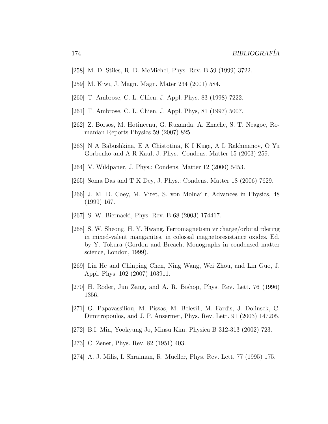- [258] M. D. Stiles, R. D. McMichel, Phys. Rev. B 59 (1999) 3722.
- [259] M. Kiwi, J. Magn. Magn. Mater 234 (2001) 584.
- [260] T. Ambrose, C. L. Chien, J. Appl. Phys. 83 (1998) 7222.
- [261] T. Ambrose, C. L. Chien, J. Appl. Phys, 81 (1997) 5007.
- [262] Z. Borsos, M. Hotincenu, G. Ruxanda, A. Enache, S. T. Neagoe, Romanian Reports Physics 59 (2007) 825.
- [263] N A Babushkina, E A Chistotina, K I Kuge, A L Rakhmanov, O Yu Gorbenko and A R Kaul, J. Phys.: Condens. Matter 15 (2003) 259.
- [264] V. Wildpaner, J. Phys.: Condens. Matter 12 (2000) 5453.
- [265] Soma Das and T K Dey, J. Phys.: Condens. Matter 18 (2006) 7629.
- [266] J. M. D. Coey, M. Viret, S. von Molnaí r, Advances in Physics, 48 (1999) 167.
- [267] S. W. Biernacki, Phys. Rev. B 68 (2003) 174417.
- [268] S. W. Sheong, H. Y. Hwang, Ferromagnetism vr charge/orbital rdering in mixed-valent manganites, in colossal magnetoresistance oxides, Ed. by Y. Tokura (Gordon and Breach, Monographs in condensed matter science, London, 1999).
- [269] Lin He and Chinping Chen, Ning Wang, Wei Zhou, and Lin Guo, J. Appl. Phys. 102 (2007) 103911.
- [270] H. Röder, Jun Zang, and A. R. Bishop, Phys. Rev. Lett. 76 (1996) 1356.
- [271] G. Papavassiliou, M. Pissas, M. Belesi1, M. Fardis, J. Dolinsek, C. Dimitropoulos, and J. P. Ansermet, Phys. Rev. Lett. 91 (2003) 147205.
- [272] B.I. Min, Yookyung Jo, Minsu Kim, Physica B 312-313 (2002) 723.
- [273] C. Zener, Phys. Rev. 82 (1951) 403.
- [274] A. J. Milis, I. Shraiman, R. Mueller, Phys. Rev. Lett. 77 (1995) 175.